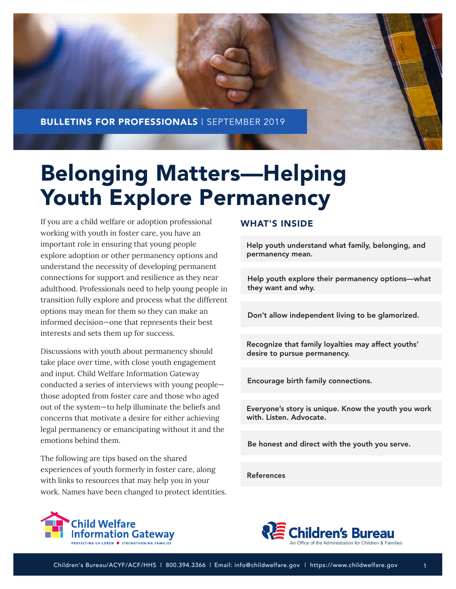

# Belonging Matters—Helping Youth Explore Permanency

If you are a child welfare or adoption professional working with youth in foster care, you have an important role in ensuring that young people explore adoption or other permanency options and understand the necessity of developing permanent connections for support and resilience as they near adulthood. Professionals need to help young people in transition fully explore and process what the different options may mean for them so they can make an informed decision—one that represents their best interests and sets them up for success.

Discussions with youth about permanency should take place over time, with close youth engagement and input. Child Welfare Information Gateway conducted a series of interviews with young people those adopted from foster care and those who aged out of the system—to help illuminate the beliefs and concerns that motivate a desire for either achieving legal permanency or emancipating without it and the emotions behind them.

The following are tips based on the shared experiences of youth formerly in foster care, along with links to resources that may help you in your work. Names have been changed to protect identities.

#### WHAT'S INSIDE

[Help youth understand what family, belonging, and](#page-1-0)  permanency mean.

[Help youth explore their permanency options—what](#page-2-0)  they want and why.

[Don't allow independent living to be glamorized.](#page-3-0)

[Recognize that family loyalties may affect youths'](#page-4-0)  desire to pursue permanency.

[Encourage birth family connections.](#page-5-0)

[Everyone's story is unique. Know the youth you work](#page-6-0)  with. Listen. Advocate.

[Be honest and direct with the youth you serve.](#page-7-0)

[References](#page-8-0)



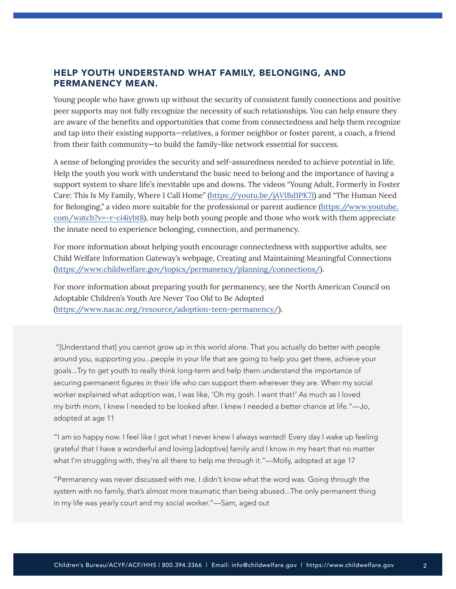## <span id="page-1-0"></span>HELP YOUTH UNDERSTAND WHAT FAMILY, BELONGING, AND PERMANENCY MEAN.

Young people who have grown up without the security of consistent family connections and positive peer supports may not fully recognize the necessity of such relationships. You can help ensure they are aware of the benefits and opportunities that come from connectedness and help them recognize and tap into their existing supports—relatives, a former neighbor or foster parent, a coach, a friend from their faith community—to build the family-like network essential for success.

A sense of belonging provides the security and self-assuredness needed to achieve potential in life. Help the youth you work with understand the basic need to belong and the importance of having a support system to share life's inevitable ups and downs. The videos "Young Adult, Formerly in Foster Care: This Is My Family, Where I Call Home" ([https://youtu.be/jAVIBd1PK7I\)](https://youtu.be/jAVIBd1PK7I) and "The Human Need for Belonging," a video more suitable for the professional or parent audience [\(https://www.youtube.](https://www.youtube.com/watch?v=-r-ci4iybt8) [com/watch?v=-r-ci4iybt8](https://www.youtube.com/watch?v=-r-ci4iybt8)), may help both young people and those who work with them appreciate the innate need to experience belonging, connection, and permanency.

For more information about helping youth encourage connectedness with supportive adults, see Child Welfare Information Gateway's webpage, Creating and Maintaining Meaningful Connections [\(https://www.childwelfare.gov/topics/permanency/planning/connections/](https://www.childwelfare.gov/topics/permanency/planning/connections/)).

For more information about preparing youth for permanency, see the North American Council on Adoptable Children's Youth Are Never Too Old to Be Adopted [\(https://www.nacac.org/resource/adoption-teen-permanency/](https://www.nacac.org/resource/adoption-teen-permanency/)).

 "[Understand that] you cannot grow up in this world alone. That you actually do better with people around you, supporting you...people in your life that are going to help you get there, achieve your goals...Try to get youth to really think long-term and help them understand the importance of securing permanent figures in their life who can support them wherever they are. When my social worker explained what adoption was, I was like, 'Oh my gosh. I want that!' As much as I loved my birth mom, I knew I needed to be looked after. I knew I needed a better chance at life."—Jo, adopted at age 11

"I am so happy now. I feel like I got what I never knew I always wanted! Every day I wake up feeling grateful that I have a wonderful and loving [adoptive] family and I know in my heart that no matter what I'm struggling with, they're all there to help me through it."—Molly, adopted at age 17

"Permanency was never discussed with me. I didn't know what the word was. Going through the system with no family, that's almost more traumatic than being abused...The only permanent thing in my life was yearly court and my social worker."—Sam, aged out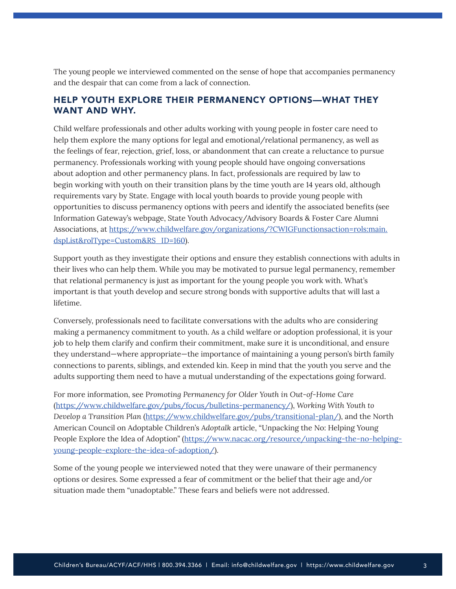<span id="page-2-0"></span>The young people we interviewed commented on the sense of hope that accompanies permanency and the despair that can come from a lack of connection.

## HELP YOUTH EXPLORE THEIR PERMANENCY OPTIONS—WHAT THEY WANT AND WHY.

Child welfare professionals and other adults working with young people in foster care need to help them explore the many options for legal and emotional/relational permanency, as well as the feelings of fear, rejection, grief, loss, or abandonment that can create a reluctance to pursue permanency. Professionals working with young people should have ongoing conversations about adoption and other permanency plans. In fact, professionals are required by law to begin working with youth on their transition plans by the time youth are 14 years old, although requirements vary by State. Engage with local youth boards to provide young people with opportunities to discuss permanency options with peers and identify the associated benefits (see Information Gateway's webpage, State Youth Advocacy/Advisory Boards & Foster Care Alumni Associations, at [https://www.childwelfare.gov/organizations/?CWIGFunctionsaction=rols:main.](https://www.childwelfare.gov/organizations/?CWIGFunctionsaction=rols:main.dspList&rolType=Custom&RS_ID=160) [dspList&rolType=Custom&RS\\_ID=160\)](https://www.childwelfare.gov/organizations/?CWIGFunctionsaction=rols:main.dspList&rolType=Custom&RS_ID=160).

Support youth as they investigate their options and ensure they establish connections with adults in their lives who can help them. While you may be motivated to pursue legal permanency, remember that relational permanency is just as important for the young people you work with. What's important is that youth develop and secure strong bonds with supportive adults that will last a lifetime.

Conversely, professionals need to facilitate conversations with the adults who are considering making a permanency commitment to youth. As a child welfare or adoption professional, it is your job to help them clarify and confirm their commitment, make sure it is unconditional, and ensure they understand—where appropriate—the importance of maintaining a young person's birth family connections to parents, siblings, and extended kin. Keep in mind that the youth you serve and the adults supporting them need to have a mutual understanding of the expectations going forward.

For more information, see P*romoting Permanency for Older Youth in Out-of-Home Care* [\(https://www.childwelfare.gov/pubs/focus/bulletins-permanency/](https://www.childwelfare.gov/pubs/focus/bulletins-permanency/)), *Working With Youth to Develop a Transition Plan* ([https://www.childwelfare.gov/pubs/transitional-plan/\)](https://www.childwelfare.gov/pubs/transitional-plan/), and the North American Council on Adoptable Children's *Adoptalk* article, "Unpacking the No: Helping Young People Explore the Idea of Adoption" ([https://www.nacac.org/resource/unpacking-the-no-helping](https://www.nacac.org/resource/unpacking-the-no-helping-young-people-explore-the-idea-of-adoption/)[young-people-explore-the-idea-of-adoption/](https://www.nacac.org/resource/unpacking-the-no-helping-young-people-explore-the-idea-of-adoption/)).

Some of the young people we interviewed noted that they were unaware of their permanency options or desires. Some expressed a fear of commitment or the belief that their age and/or situation made them "unadoptable." These fears and beliefs were not addressed.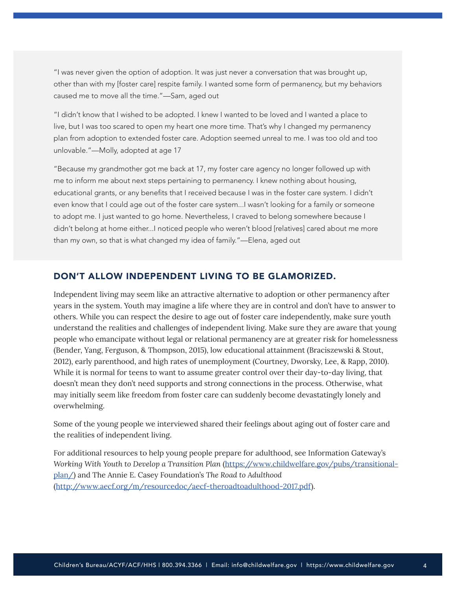<span id="page-3-0"></span>"I was never given the option of adoption. It was just never a conversation that was brought up, other than with my [foster care] respite family. I wanted some form of permanency, but my behaviors caused me to move all the time."—Sam, aged out

"I didn't know that I wished to be adopted. I knew I wanted to be loved and I wanted a place to live, but I was too scared to open my heart one more time. That's why I changed my permanency plan from adoption to extended foster care. Adoption seemed unreal to me. I was too old and too unlovable."—Molly, adopted at age 17

"Because my grandmother got me back at 17, my foster care agency no longer followed up with me to inform me about next steps pertaining to permanency. I knew nothing about housing, educational grants, or any benefits that I received because I was in the foster care system. I didn't even know that I could age out of the foster care system...I wasn't looking for a family or someone to adopt me. I just wanted to go home. Nevertheless, I craved to belong somewhere because I didn't belong at home either...I noticed people who weren't blood [relatives] cared about me more than my own, so that is what changed my idea of family."—Elena, aged out

#### DON'T ALLOW INDEPENDENT LIVING TO BE GLAMORIZED.

Independent living may seem like an attractive alternative to adoption or other permanency after years in the system. Youth may imagine a life where they are in control and don't have to answer to others. While you can respect the desire to age out of foster care independently, make sure youth understand the realities and challenges of independent living. Make sure they are aware that young people who emancipate without legal or relational permanency are at greater risk for homelessness (Bender, Yang, Ferguson, & Thompson, 2015), low educational attainment (Braciszewski & Stout, 2012), early parenthood, and high rates of unemployment (Courtney, Dworsky, Lee, & Rapp, 2010). While it is normal for teens to want to assume greater control over their day-to-day living, that doesn't mean they don't need supports and strong connections in the process. Otherwise, what may initially seem like freedom from foster care can suddenly become devastatingly lonely and overwhelming.

Some of the young people we interviewed shared their feelings about aging out of foster care and the realities of independent living.

For additional resources to help young people prepare for adulthood, see Information Gateway's *Working With Youth to Develop a Transition Plan* [\(https://www.childwelfare.gov/pubs/transitional](https://www.childwelfare.gov/pubs/transitional-plan/)[plan/\)](https://www.childwelfare.gov/pubs/transitional-plan/) and The Annie E. Casey Foundation's *The Road to Adulthood* [\(http://www.aecf.org/m/resourcedoc/aecf-theroadtoadulthood-2017.pdf\)](http://www.aecf.org/m/resourcedoc/aecf-theroadtoadulthood-2017.pdf).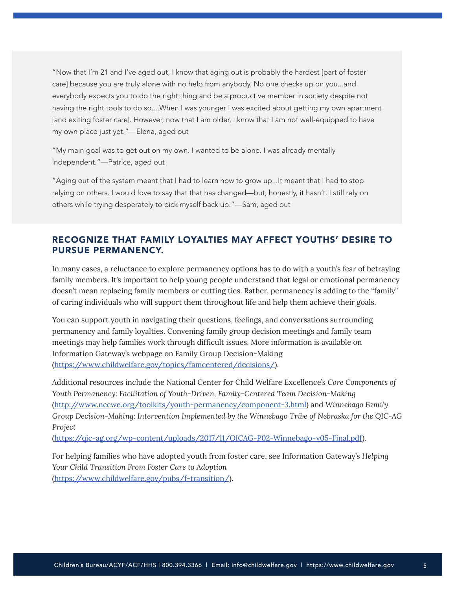<span id="page-4-0"></span>"Now that I'm 21 and I've aged out, I know that aging out is probably the hardest [part of foster care] because you are truly alone with no help from anybody. No one checks up on you...and everybody expects you to do the right thing and be a productive member in society despite not having the right tools to do so....When I was younger I was excited about getting my own apartment [and exiting foster care]. However, now that I am older, I know that I am not well-equipped to have my own place just yet."—Elena, aged out

"My main goal was to get out on my own. I wanted to be alone. I was already mentally independent."—Patrice, aged out

"Aging out of the system meant that I had to learn how to grow up...It meant that I had to stop relying on others. I would love to say that that has changed—but, honestly, it hasn't. I still rely on others while trying desperately to pick myself back up."—Sam, aged out

## RECOGNIZE THAT FAMILY LOYALTIES MAY AFFECT YOUTHS' DESIRE TO PURSUE PERMANENCY.

In many cases, a reluctance to explore permanency options has to do with a youth's fear of betraying family members. It's important to help young people understand that legal or emotional permanency doesn't mean replacing family members or cutting ties. Rather, permanency is adding to the "family" of caring individuals who will support them throughout life and help them achieve their goals.

You can support youth in navigating their questions, feelings, and conversations surrounding permanency and family loyalties. Convening family group decision meetings and family team meetings may help families work through difficult issues. More information is available on Information Gateway's webpage on Family Group Decision-Making [\(https://www.childwelfare.gov/topics/famcentered/decisions/](https://www.childwelfare.gov/topics/famcentered/decisions/)).

Additional resources include the National Center for Child Welfare Excellence's *Core Components of Youth Permanency: Facilitation of Youth-Driven, Family-Centered Team Decision-Making* [\(http://www.nccwe.org/toolkits/youth-permanency/component-3.html](http://www.nccwe.org/toolkits/youth-permanency/component-3.html)) and *Winnebago Family Group Decision-Making: Intervention Implemented by the Winnebago Tribe of Nebraska for the QIC-AG Project* 

[\(https://qic-ag.org/wp-content/uploads/2017/11/QICAG-P02-Winnebago-v05-Final.pdf\)](https://qic-ag.org/wp-content/uploads/2017/11/QICAG-P02-Winnebago-v05-Final.pdf).

For helping families who have adopted youth from foster care, see Information Gateway's *Helping Your Child Transition From Foster Care to Adoption* [\(https://www.childwelfare.gov/pubs/f-transition/\)](https://www.childwelfare.gov/pubs/f-transition/).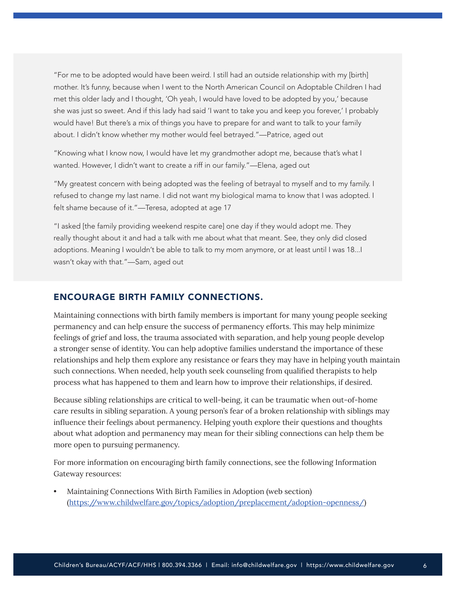<span id="page-5-0"></span>"For me to be adopted would have been weird. I still had an outside relationship with my [birth] mother. It's funny, because when I went to the North American Council on Adoptable Children I had met this older lady and I thought, 'Oh yeah, I would have loved to be adopted by you,' because she was just so sweet. And if this lady had said 'I want to take you and keep you forever,' I probably would have! But there's a mix of things you have to prepare for and want to talk to your family about. I didn't know whether my mother would feel betrayed."—Patrice, aged out

"Knowing what I know now, I would have let my grandmother adopt me, because that's what I wanted. However, I didn't want to create a riff in our family."—Elena, aged out

"My greatest concern with being adopted was the feeling of betrayal to myself and to my family. I refused to change my last name. I did not want my biological mama to know that I was adopted. I felt shame because of it."—Teresa, adopted at age 17

"I asked [the family providing weekend respite care] one day if they would adopt me. They really thought about it and had a talk with me about what that meant. See, they only did closed adoptions. Meaning I wouldn't be able to talk to my mom anymore, or at least until I was 18...I wasn't okay with that."—Sam, aged out

#### ENCOURAGE BIRTH FAMILY CONNECTIONS.

Maintaining connections with birth family members is important for many young people seeking permanency and can help ensure the success of permanency efforts. This may help minimize feelings of grief and loss, the trauma associated with separation, and help young people develop a stronger sense of identity. You can help adoptive families understand the importance of these relationships and help them explore any resistance or fears they may have in helping youth maintain such connections. When needed, help youth seek counseling from qualified therapists to help process what has happened to them and learn how to improve their relationships, if desired.

Because sibling relationships are critical to well-being, it can be traumatic when out-of-home care results in sibling separation. A young person's fear of a broken relationship with siblings may influence their feelings about permanency. Helping youth explore their questions and thoughts about what adoption and permanency may mean for their sibling connections can help them be more open to pursuing permanency.

For more information on encouraging birth family connections, see the following Information Gateway resources:

• Maintaining Connections With Birth Families in Adoption (web section) [\(https://www.childwelfare.gov/topics/adoption/preplacement/adoption-openness/\)](https://www.childwelfare.gov/topics/adoption/preplacement/adoption-openness/)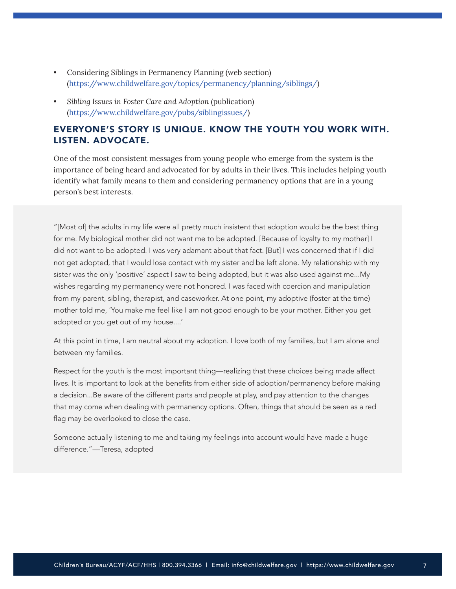- <span id="page-6-0"></span>• Considering Siblings in Permanency Planning (web section) [\(https://www.childwelfare.gov/topics/permanency/planning/siblings/](https://www.childwelfare.gov/topics/permanency/planning/siblings/))
- *Sibling Issues in Foster Care and Adoption* (publication) [\(https://www.childwelfare.gov/pubs/siblingissues/\)](https://www.childwelfare.gov/pubs/siblingissues/)

## EVERYONE'S STORY IS UNIQUE. KNOW THE YOUTH YOU WORK WITH. LISTEN. ADVOCATE.

One of the most consistent messages from young people who emerge from the system is the importance of being heard and advocated for by adults in their lives. This includes helping youth identify what family means to them and considering permanency options that are in a young person's best interests.

"[Most of] the adults in my life were all pretty much insistent that adoption would be the best thing for me. My biological mother did not want me to be adopted. [Because of loyalty to my mother] I did not want to be adopted. I was very adamant about that fact. [But] I was concerned that if I did not get adopted, that I would lose contact with my sister and be left alone. My relationship with my sister was the only 'positive' aspect I saw to being adopted, but it was also used against me...My wishes regarding my permanency were not honored. I was faced with coercion and manipulation from my parent, sibling, therapist, and caseworker. At one point, my adoptive (foster at the time) mother told me, 'You make me feel like I am not good enough to be your mother. Either you get adopted or you get out of my house....'

At this point in time, I am neutral about my adoption. I love both of my families, but I am alone and between my families.

Respect for the youth is the most important thing—realizing that these choices being made affect lives. It is important to look at the benefits from either side of adoption/permanency before making a decision...Be aware of the different parts and people at play, and pay attention to the changes that may come when dealing with permanency options. Often, things that should be seen as a red flag may be overlooked to close the case.

Someone actually listening to me and taking my feelings into account would have made a huge difference."—Teresa, adopted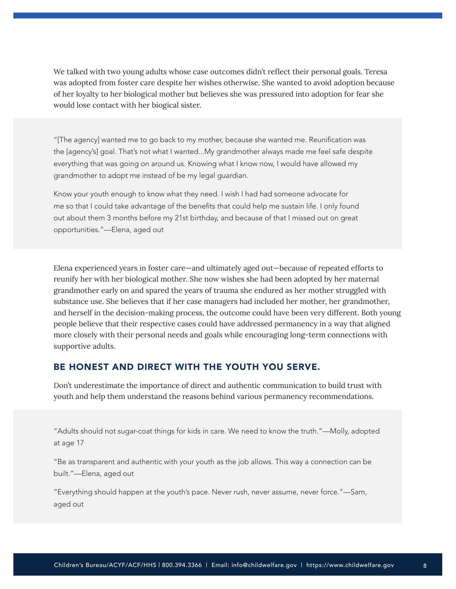<span id="page-7-0"></span>We talked with two young adults whose case outcomes didn't reflect their personal goals. Teresa was adopted from foster care despite her wishes otherwise. She wanted to avoid adoption because of her loyalty to her biological mother but believes she was pressured into adoption for fear she would lose contact with her biogical sister.

"[The agency] wanted me to go back to my mother, because she wanted me. Reunification was the [agency's] goal. That's not what I wanted...My grandmother always made me feel safe despite everything that was going on around us. Knowing what I know now, I would have allowed my grandmother to adopt me instead of be my legal guardian.

Know your youth enough to know what they need. I wish I had had someone advocate for me so that I could take advantage of the benefits that could help me sustain life. I only found out about them 3 months before my 21st birthday, and because of that I missed out on great opportunities."—Elena, aged out

Elena experienced years in foster care—and ultimately aged out—because of repeated efforts to reunify her with her biological mother. She now wishes she had been adopted by her maternal grandmother early on and spared the years of trauma she endured as her mother struggled with substance use. She believes that if her case managers had included her mother, her grandmother, and herself in the decision-making process, the outcome could have been very different. Both young people believe that their respective cases could have addressed permanency in a way that aligned more closely with their personal needs and goals while encouraging long-term connections with supportive adults.

#### BE HONEST AND DIRECT WITH THE YOUTH YOU SERVE.

Don't underestimate the importance of direct and authentic communication to build trust with youth and help them understand the reasons behind various permanency recommendations.

"Adults should not sugar-coat things for kids in care. We need to know the truth."—Molly, adopted at age 17

"Be as transparent and authentic with your youth as the job allows. This way a connection can be built."—Elena, aged out

"Everything should happen at the youth's pace. Never rush, never assume, never force."—Sam, aged out